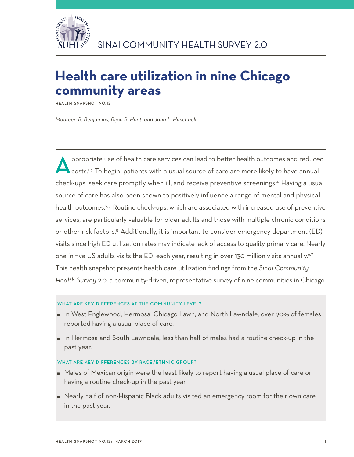

# **Health care utilization in nine Chicago community areas**

**Health Snapshot No.12**

*Maureen R. Benjamins, Bijou R. Hunt, and Jana L. Hirschtick*

Appropriate use of health care services can lead to better health outcomes and reduced<br>
costs.<sup>1-3</sup> To begin, patients with a usual source of care are more likely to have annual check-ups, seek care promptly when ill, and receive preventive screenings.4 Having a usual source of care has also been shown to positively influence a range of mental and physical health outcomes.<sup>2,3</sup> Routine check-ups, which are associated with increased use of preventive services, are particularly valuable for older adults and those with multiple chronic conditions or other risk factors.<sup>5</sup> Additionally, it is important to consider emergency department (ED) visits since high ED utilization rates may indicate lack of access to quality primary care. Nearly one in five US adults visits the ED each year, resulting in over 130 million visits annually.<sup>6,7</sup> This health snapshot presents health care utilization findings from the *Sinai Community Health Survey 2.0*, a community-driven, representative survey of nine communities in Chicago.

# WHAT ARE KEY DIFFERENCES AT THE COMMUNITY LEVEL?

- In West Englewood, Hermosa, Chicago Lawn, and North Lawndale, over 90% of females reported having a usual place of care.
- In Hermosa and South Lawndale, less than half of males had a routine check-up in the past year.

# WHAT ARE KEY DIFFERENCES BY RACE/ETHNIC GROUP?

- Males of Mexican origin were the least likely to report having a usual place of care or having a routine check-up in the past year.
- Nearly half of non-Hispanic Black adults visited an emergency room for their own care in the past year.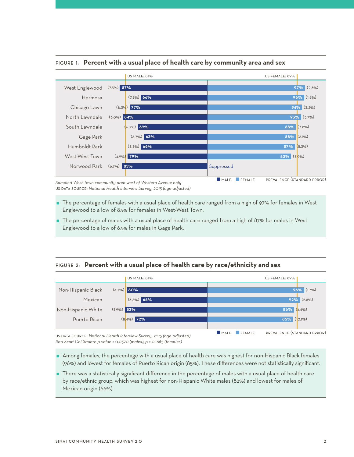

## Figure 1: **Percent with a usual place of health care by community area and sex**

*Sampled West Town community area west of Western Avenue only* us data source: *National Health Interview Survey, 2015 (age-adjusted)*

- The percentage of females with a usual place of health care ranged from a high of 97% for females in West Englewood to a low of 83% for females in West-West Town.
- The percentage of males with a usual place of health care ranged from a high of 87% for males in West Englewood to a low of 63% for males in Gage Park.

## Figure 2: **Percent with a usual place of health care by race/ethnicity and sex**



us data source: *National Health Interview Survey, 2015 (age-adjusted) Rao-Scott Chi-Square p-value = 0.0370 (males); p = 0.1665 (females)*

- Among females, the percentage with a usual place of health care was highest for non-Hispanic Black females (96%) and lowest for females of Puerto Rican origin (85%). These differences were not statistically significant.
- There was a statistically significant difference in the percentage of males with a usual place of health care by race/ethnic group, which was highest for non-Hispanic White males (82%) and lowest for males of Mexican origin (66%).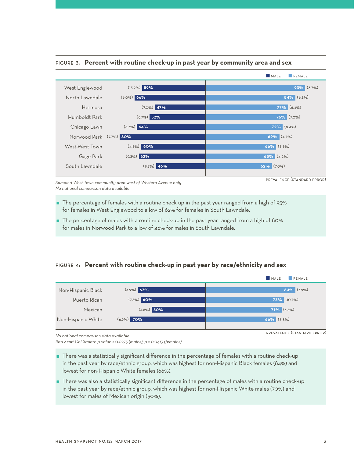

## Figure 3: **Percent with routine check-up in past year by community area and sex**

*Sampled West Town community area west of Western Avenue only No national comparison data available*

- The percentage of females with a routine check-up in the past year ranged from a high of 93% for females in West Englewood to a low of 62% for females in South Lawndale.
- The percentage of males with a routine check-up in the past year ranged from a high of 80% for males in Norwood Park to a low of 46% for males in South Lawndale.

# Figure 4: **Percent with routine check-up in past year by race/ethnicity and sex**



*No national comparison data available*

*Rao-Scott Chi-Square p-value = 0.0275 (males); p = 0.0413 (females)*

- There was a statistically significant difference in the percentage of females with a routine check-up in the past year by race/ethnic group, which was highest for non-Hispanic Black females (84%) and lowest for non-Hispanic White females (66%).
- There was also a statistically significant difference in the percentage of males with a routine check-up in the past year by race/ethnic group, which was highest for non-Hispanic White males (70%) and lowest for males of Mexican origin (50%).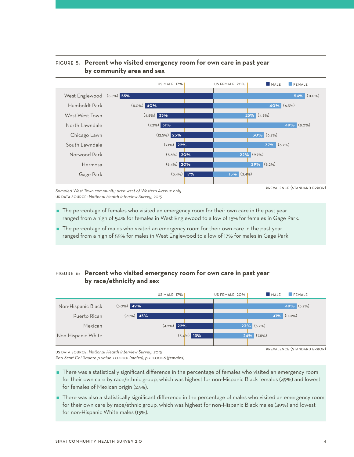

# Figure 5: **Percent who visited emergency room for own care in past year by community area and sex**

*Sampled West Town community area west of Western Avenue only* us data source: *National Health Interview Survey, 2015*

prevalence (standard error)

- The percentage of females who visited an emergency room for their own care in the past year ranged from a high of 54% for females in West Englewood to a low of 15% for females in Gage Park.
- The percentage of males who visited an emergency room for their own care in the past year ranged from a high of 55% for males in West Englewood to a low of 17% for males in Gage Park.

# Figure 6: **Percent who visited emergency room for own care in past year by race/ethnicity and sex**

|                    |               | <b>US MALE: 17%</b> |               | US FEMALE: 20% | MALE             | <b>FEMALE</b> |
|--------------------|---------------|---------------------|---------------|----------------|------------------|---------------|
| Non-Hispanic Black | $(5.0\%)$ 49% |                     |               |                |                  | $49%$ (5.2%)  |
| Puerto Rican       | $(7.5\%)$ 45% |                     |               |                | 41%              | $(11.0\%)$    |
| Mexican            |               | $(4.2\%)$ 22%       |               |                | $23\%$ (3.7%)    |               |
| Non-Hispanic White |               |                     | $(3.4\%)$ 13% |                | $(7.5\%)$<br>24% |               |

prevalence (standard error)

us data source: *National Health Interview Survey, 2015*

*Rao-Scott Chi-Square p-value < 0.0001 (males); p = 0.0006 (females)*

- There was a statistically significant difference in the percentage of females who visited an emergency room for their own care by race/ethnic group, which was highest for non-Hispanic Black females (49%) and lowest for females of Mexican origin (23%).
- There was also a statistically significant difference in the percentage of males who visited an emergency room for their own care by race/ethnic group, which was highest for non-Hispanic Black males (49%) and lowest for non-Hispanic White males (13%).